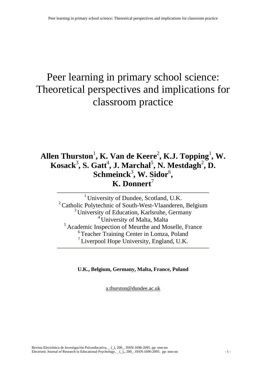# Peer learning in primary school science: Theoretical perspectives and implications for classroom practice

# Allen Thurston<sup>1</sup>, K. Van de Keere<sup>2</sup>, K.J. Topping<sup>1</sup>, W.  $\mathbf{Kosack}^3$ , S. Gatt<sup>4</sup>, J. Marchal<sup>5</sup>, N. Mestdagh<sup>2</sup>, D. Schmeinck<sup>3</sup>, W. Sidor<sup>6</sup>, **K. Donnert**<sup>7</sup>

<sup>1</sup> University of Dundee, Scotland, U.K. <sup>2</sup> Catholic Polytechnic of South-West-Vlaanderen, Belgium <sup>3</sup> University of Education, Karlsruhe, Germany <sup>4</sup> University of Malta, Malta 5 Academic Inspection of Meurthe and Moselle, France 6 Teacher Training Center in Lomza, Poland  $^7$  Liverpool Hope University, England, U.K.

**U.K., Belgium, Germany, Malta, France, Poland** 

a.thurston@dundee.ac.uk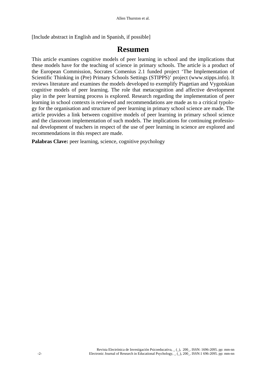[Include abstract in English and in Spanish, if possible]

# **Resumen**

This article examines cognitive models of peer learning in school and the implications that these models have for the teaching of science in primary schools. The article is a product of the European Commission, Socrates Comenius 2.1 funded project 'The Implementation of Scientific Thinking in (Pre) Primary Schools Settings (STIPPS)' project (www.stipps.info). It reviews literature and examines the models developed to exemplify Piagetian and Vygotskian cognitive models of peer learning. The role that metacognition and affective development play in the peer learning process is explored. Research regarding the implementation of peer learning in school contexts is reviewed and recommendations are made as to a critical typology for the organisation and structure of peer learning in primary school science are made. The article provides a link between cognitive models of peer learning in primary school science and the classroom implementation of such models. The implications for continuing professional development of teachers in respect of the use of peer learning in science are explored and recommendations in this respect are made.

Palabras Clave: peer learning, science, cognitive psychology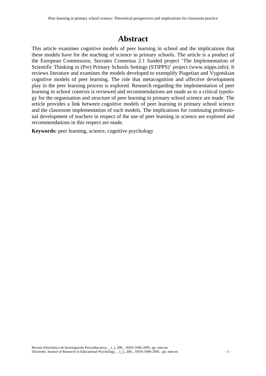# **Abstract**

This article examines cognitive models of peer learning in school and the implications that these models have for the teaching of science in primary schools. The article is a product of the European Commission, Socrates Comenius 2.1 funded project 'The Implementation of Scientific Thinking in (Pre) Primary Schools Settings (STIPPS)' project (www.stipps.info). It reviews literature and examines the models developed to exemplify Piagetian and Vygotskian cognitive models of peer learning. The role that metacognition and affective development play in the peer learning process is explored. Research regarding the implementation of peer learning in school contexts is reviewed and recommendations are made as to a critical typology for the organisation and structure of peer learning in primary school science are made. The article provides a link between cognitive models of peer learning in primary school science and the classroom implementation of such models. The implications for continuing professional development of teachers in respect of the use of peer learning in science are explored and recommendations in this respect are made.

**Keywords:** peer learning, science, cognitive psychology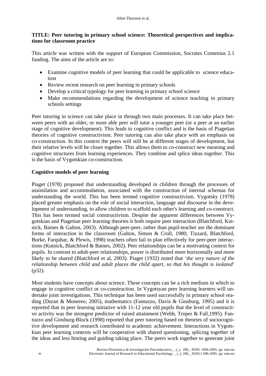### **TITLE: Peer tutoring in primary school science: Theoretical perspectives and implications for classroom practice**

This article was written with the support of European Commission, Socrates Comenius 2.1 funding. The aims of the article are to:

- Examine cognitive models of peer learning that could be applicable to science education
- Review recent research on peer learning in primary schools
- Develop a critical typology for peer learning in primary school science
- Make recommendations regarding the development of science teaching in primary schools settings

Peer tutoring in science can take place in through two main processes. It can take place between peers with an older, or more able peer will tutor a younger peer (or a peer at an earlier stage of cognitive development). This leads to cognitive conflict and is the basis of Piagetian theories of cognitive constructivism. Peer tutoring can also take place with an emphasis on co-construction. In this context the peers will still be at different stages of development, but their relative levels will be closer together. This allows them to co-construct new meaning and cognitive structures from learning experiences. They combine and splice ideas together. This is the basis of Vygotskian co-construction.

## **Cognitive models of peer learning**

Piaget (1978) proposed that understanding developed in children through the processes of assimilation and accommodation, associated with the construction of internal schemas for understanding the world. This has been termed cognitive constructivism. Vygotsky (1978) placed greater emphasis on the role of social interaction, language and discourse in the development of understanding, to allow children to scaffold each other's learning and co-construct. This has been termed social constructivism. Despite the apparent differences between Vygotskian and Piagetian peer learning theories it both require peer interaction (Blatchford, Kutnick, Baines & Galton, 2003). Although peer-peer, rather than pupil-teacher are the dominant forms of interaction in the classroom (Galton, Simon & Croll, 1980; Tizzard, Blatchford, Burke, Farquhar, & Plewis, 1998) teachers often fail to plan effectively for peer-peer interactions (Kutnick, Blatchford & Baines, 2002). Peer relationships can be a motivating context for pupils. In contrast to adult-peer relationships, power is distributed more horizontally and more likely to be shared (Blatchford et al, 2003). Piaget (1932) noted that '*the very nature of the relationship between child and adult places the child apart, so that his thought is isolated*' (p32).

Most students have concepts about science. These concepts can be a rich medium in which to engage in cognitive conflict or co-construction. In Vygotsyan peer learning learners will undertake joint investigations. This technique has been used successfully in primary school reading (Duran & Monereo, 2005), mathematics (Fantuzzo, Davis & Ginsburg, 1995) and it is reported that in peer learning initiative with 11-12 year old pupils that the level of constructive activity was the strongest predictor of raised attainment (Webb, Troper & Fall,1995). Fantuzzo and Ginsburg-Block (1998) reported that peer tutoring based on theories of sociocognitive development and research contributed to academic achievement. Interactions in Vygotskian peer learning contexts will be cooperative with shared questioning, splicing together of the ideas and less hinting and guiding taking place. The peers work together to generate joint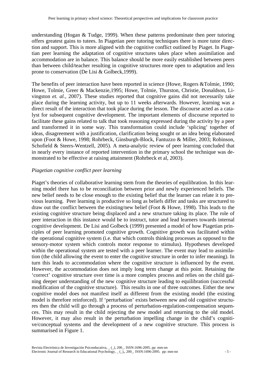understanding (Hogan & Tudge, 1999). When these patterns predominate then peer tutoring offers greatest gains to tutees. In Piagetian peer tutoring techniques there is more tutor direction and support. This is more aligned with the cognitive conflict outlined by Piaget. In Piagetian peer learning the adaptation of cognitive structures takes place when assimilation and accommodation are in balance. This balance should be more easily established between peers than between child/teacher resulting in cognitive structures more open to adaptation and less prone to conservation (De Lisi & Golbeck,1999).

The benefits of peer interaction have been reported in science (Howe, Rogers &Tolmie, 1990; Howe, Tolmie, Greer & Mackenzie,1995; Howe, Tolmie, Thurston, Christie, Donaldson, Livingston *et. al.*, 2007). These studies reported that cognitive gains did not necessarily take place during the learning activity, but up to 11 weeks afterwards. However, learning was a direct result of the interaction that took place during the lesson. The discourse acted as a catalyst for subsequent cognitive development. The important elements of discourse reported to facilitate these gains related to talk that took reasoning expressed during the activity by a peer and transformed it in some way. This transformation could include 'splicing' together of ideas, disagreement with a justification, clarification being sought or an idea being elaborated upon (Foot & Howe, 1998; Rohrbeck, Ginsburgh-Block, Fantuzzo & Miller, 2003; Robinson, Schofield & Steers-Wentzell, 2005). A meta-analytic review of peer learning concluded that in nearly every instance of reported intervention in the primary school the technique was demonstrated to be effective at raising attainment (Rohrbeck et al, 2003).

#### *Piagetian cognitive conflict peer learning*

Piaget's theories of collaborative learning stem from the theories of equilibration. In this learning model there has to be reconciliation between prior and newly experienced beliefs. The new belief needs to be close enough to the existing belief that the learner can relate it to previous learning. Peer learning is productive so long as beliefs differ and tasks are structured to draw out the conflict between the existing/new belief (Foot & Howe, 1998). This leads to the existing cognitive structure being displaced and a new structure taking its place. The role of peer interaction in this instance would be to instruct, tutor and lead learners towards internal cognitive development. De Lisi and Golbeck (1999) presented a model of how Piagetian principles of peer learning promoted cognitive growth. Cognitive growth was facilitated within the operational cognitive system (i.e. that which controls thinking processes as opposed to the sensory-motor system which controls motor response to stimulus). Hypotheses developed within the operational system are tested with a peer learner. The event may lead to assimilation (the child allowing the event to enter the cognitive structure in order to infer meaning). In turn this leads to accommodation where the cognitive structure is influenced by the event. However, the accommodation does not imply long term change at this point. Retaining the 'correct' cognitive structure over time is a more complex process and relies on the child gaining deeper understanding of the new cognitive structure leading to equilibration (successful modification of the cognitive structure). This results in one of three outcomes. Either the new cognitive model does not manifest itself as different from the existing model (the existing model is therefore reinforced). If 'perturbation' exists between new and old cognitive structures then the child will go through a process of perturbation-regulation-compensation sequences. This may result in the child rejecting the new model and returning to the old model. However, it may also result in the perturbation impelling change in the child's cognitive/conceptual systems and the development of a new cognitive structure. This process is summarised in Figure 1.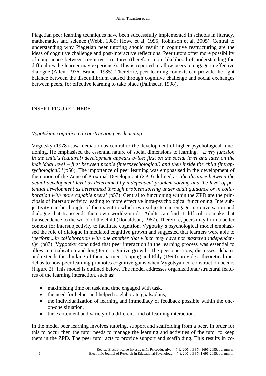Piagetian peer learning techniques have been successfully implemented in schools in literacy, mathematics and science (Webb, 1989; Howe et al, 1995; Robinson et al, 2005). Central to understanding why Piagetian peer tutoring should result in cognitive restructuring are the ideas of cognitive challenge and post-interactive reflections. Peer tutors offer more possibility of congruence between cognitive structures (therefore more likelihood of understanding the difficulties the learner may experience). This is reported to allow peers to engage in effective dialogue (Allen, 1976; Bruner, 1985). Therefore, peer learning contexts can provide the right balance between the disequilibrium caused through cognitive challenge and social exchanges between peers, for effective learning to take place (Palinscar, 1998).

#### INSERT FIGURE 1 HERE

#### *Vygotskian cognitive co-construction peer learning*

Vygotsky (1978) saw mediation as central to the development of higher psychological functioning. He emphasised the essential nature of social dimensions to learning. '*Every function in the child's (cultural) development appears twice: first on the social level and later on the individual level – first between people (interpsychological) and then inside the child (intrapsychological).*'(p56). The importance of peer learning was emphasised in the development of the notion of the Zone of Proximal Development (ZPD) defined as '*the distance between the actual development level as determined by independent problem solving and the level of potential development as determined through problem solving under adult guidance or in collaboration with more capable peers'* (p57). Central to functioning within the ZPD are the principals of intersubjectivity leading to more effective intra-psychological functioning. Intersubjectivity can be thought of the extent to which two subjects can engage in conversation and dialogue that transcends their own worlds/minds. Adults can find it difficult to make that transcendence to the world of the child (Donaldson, 1987). Therefore, peers may form a better context for intersubjectivity to facilitate cognition. Vygotsky's psychological model emphasised the role of dialogue in mediated cognitive growth and suggested that learners were able to '*perform...in collaboration with one another that which they have not mastered independently*' (p87). Vygotsky concluded that peer interaction in the learning process was essential to allow internalisation and long term cognitive growth. The peer questions, discusses, debates and extends the thinking of their partner. Topping and Ehly (1998) provide a theoretical model as to how peer learning promotes cognitive gains when Vygotsyan co-construction occurs (Figure 2). This model is outlined below. The model addresses organizational/structural features of the learning interaction, such as:

- maximising time on task and time engaged with task,
- the need for helper and helped to elaborate goals/plans,
- the individualization of learning and immediacy of feedback possible within the oneon-one situation,
- the excitement and variety of a different kind of learning interaction.

In the model peer learning involves tutoring, support and scaffolding from a peer. In order for this to occur then the tutor needs to manage the learning and activities of the tutor to keep them in the ZPD. The peer tutor acts to provide support and scaffolding. This results in co-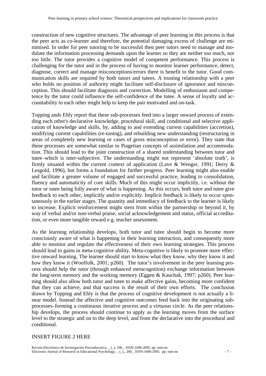construction of new cognitive structures. The advantage of peer learning in this process is that the peer acts as co-learner and therefore, the potential damaging excess of challenge are minimised. In order for peer tutoring to be successful then peer tutors need to manage and modulate the information processing demands upon the learner so they are neither too much, nor too little. The tutor provides a cognitive model of competent performance. This process is challenging for the tutor and in the process of having to monitor learner performance, detect, diagnose, correct and manage misconceptions/errors there is benefit to the tutor. Good communication skills are required by both tutors and tutees. A trusting relationship with a peer who holds no position of authority might facilitate self-disclosure of ignorance and misconception. This should facilitate diagnosis and correction. Modelling of enthusiasm and competence by the tutor could influence the self-confidence of the tutee. A sense of loyalty and accountability to each other might help to keep the pair motivated and on-task.

Topping ands Ehly report that these sub-processes feed into a larger onward process of extending each other's declarative knowledge, procedural skill, and conditional and selective application of knowledge and skills, by, adding to and extending current capabilities (accretion), modifying current capabilities (re-tuning), and rebuilding new understanding (restructuring in areas of completely new learning or cases of gross misconception or error). They state that these processes are somewhat similar to Piagetian concepts of assimilation and accommodation. This should lead to the joint construction of a shared understanding between tutor and tutee–which is inter-subjective. The understanding might not represent 'absolute truth', is firmly situated within the current context of application (Lave & Wenger, 1991; Derry  $\&$ Lesgold, 1996), but forms a foundation for further progress. Peer learning might also enable and facilitate a greater volume of engaged and successful practice, leading to consolidation, fluency and automaticity of core skills. Much of this might occur implicitly, i.e. without the tutor or tutee being fully aware of what is happening. As this occurs, both tutor and tutee give feedback to each other, implicitly and/or explicitly. Implicit feedback is likely to occur spontaneously in the earlier stages. The quantity and immediacy of feedback to the learner is likely to increase. Explicit reinforcement might stem from within the partnership or beyond it, by way of verbal and/or non-verbal praise, social acknowledgement and status, official accreditation, or even more tangible reward e.g. teacher assessment.

As the learning relationship develops, both tutor and tutee should begin to become more consciously aware of what is happening in their learning interaction, and consequently more able to monitor and regulate the effectiveness of their own learning strategies. This process should lead to gains in meta-cognitive ability. Meta-cognitive is likely to promote more effective onward learning. The learner should start to know what they know, why they know it and how they know it (Woolfolk, 2001; p260). The tutor's involvement in the peer learning process should help the tutor (through enhanced metacognition) exchange information between the long-term memory and the working memory (Eggen & Kauchak, 1997; p260). Peer learning should also allow both tutor and tutee to make affective gains, becoming more confident that they can achieve, and that success is the result of their own efforts. The conclusion drawn by Topping and Ehly is that the process of cognitive development is not actually a linear model. Instead the affective and cognitive outcomes feed back into the originating subprocesses–forming a continuous iterative process and a virtuous circle. As the peer relationship develops, the process should continue to apply as the learning moves from the surface level to the strategic and on to the deep level, and from the declarative into the procedural and conditional.

#### INSERT FIGURE 2 HERE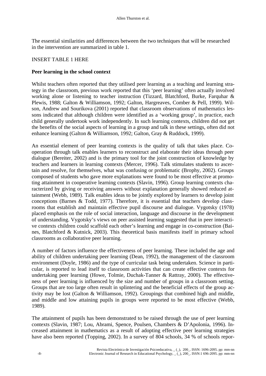The essential similarities and differences between the two techniques that will be researched in the intervention are summarized in table 1.

#### INSERT TABLE 1 HERE

#### **Peer learning in the school context**

Whilst teachers often reported that they utilised peer learning as a teaching and learning strategy in the classroom, previous work reported that this 'peer learning' often actually involved working alone or listening to teacher instruction (Tizzard, Blatchford, Burke, Farquhar & Plewis, 1988; Galton & Williamson, 1992; Galton, Hargreaves, Comber & Pell, 1999). Wilson, Andrew and Sourikova (2001) reported that classroom observations of mathematics lessons indicated that although children were identified as a 'working group', in practice, each child generally undertook work independently. In such learning contexts, children did not get the benefits of the social aspects of learning in a group and talk in these settings, often did not enhance learning (Galton & Williamson, 1992; Galton, Gray & Ruddock, 1999).

An essential element of peer learning contexts is the quality of talk that takes place. Cooperation through talk enables learners to reconstruct and elaborate their ideas through peer dialogue (Bereiter, 2002) and is the primary tool for the joint construction of knowledge by teachers and learners in learning contexts (Mercer, 1996). Talk stimulates students to ascertain and resolve, for themselves, what was confusing or problematic (Brophy, 2002). Groups composed of students who gave more explanations were found to be most effective at promoting attainment in cooperative learning contexts (Slavin, 1996). Group learning contexts characterized by giving or receiving answers without explanation generally showed reduced attainment (Webb, 1989). Talk enables ideas to be jointly explored by learners to develop joint conceptions (Barnes & Todd, 1977). Therefore, it is essential that teachers develop classrooms that establish and maintain effective pupil discourse and dialogue. Vygotsky (1978) placed emphasis on the role of social interaction, language and discourse in the development of understanding. Vygotsky's views on peer assisted learning suggested that in peer interactive contexts children could scaffold each other's learning and engage in co-construction (Baines, Blatchford & Kutnick, 2003). This theoretical basis manifests itself in primary school classrooms as collaborative peer learning.

A number of factors influence the effectiveness of peer learning. These included the age and ability of children undertaking peer learning (Dean, 1992), the management of the classroom environment (Doyle, 1986) and the type of curricular task being undertaken. Science in particular, is reported to lead itself to classroom activities that can create effective contexts for undertaking peer learning (Howe, Tolmie, Duchak-Tanner & Rattray, 2000). The effectiveness of peer learning is influenced by the size and number of groups in a classroom setting. Groups that are too large often result in splintering and the beneficial effects of the group activity may be lost (Galton & Williamson, 1992). Groupings that combined high and middle, and middle and low attaining pupils in groups were reported to be most effective (Webb, 1989).

The attainment of pupils has been demonstrated to be raised through the use of peer learning contexts (Slavin, 1987; Lou, Abrami, Spence, Poulsen, Chambers & D'Apolonia, 1996). Increased attainment in mathematics as a result of adopting effective peer learning strategies have also been reported (Topping, 2002). In a survey of 804 schools, 34 % of schools repor-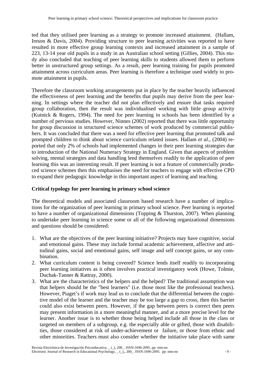ted that they utilised peer learning as a strategy to promote increased attainment. (Hallam, Ireson & Davis, 2004). Providing structure to peer learning activities was reported to have resulted in more effective group learning contexts and increased attainment in a sample of 223, 13-14 year old pupils in a study in an Australian school setting (Gillies, 2004). This study also concluded that teaching of peer learning skills to students allowed them to perform better in unstructured group settings. As a result, peer learning training for pupils promoted attainment across curriculum areas. Peer learning is therefore a technique used widely to promote attainment in pupils.

Therefore the classroom working arrangements put in place by the teacher heavily influenced the effectiveness of peer learning and the benefits that pupils may derive from the peer learning. In settings where the teacher did not plan effectively and ensure that tasks required group collaboration, then the result was individualised working with little group activity (Kutnick & Rogers, 1994). The need for peer learning in schools has been identified by a number of pervious studies. However, Ninnes (2002) reported that there was little opportunity for group discussion in structured science schemes of work produced by commercial publishers. It was concluded that there was a need for effective peer learning that promoted talk and prompted children to think about science curriculum related issues. Hallam *et al.*, (2004) reported that only 2% of schools had implemented changes in their peer learning strategies due to introduction of the National Numeracy Strategy in England. Given that aspects of problem solving, mental strategies and data handling lend themselves readily to the application of peer learning this was an interesting result. If peer learning is not a feature of commercially produced science schemes then this emphasises the need for teachers to engage with effective CPD to expand their pedagogic knowledge in this important aspect of learning and teaching.

#### **Critical typology for peer learning in primary school science**

The theoretical models and associated classroom based research have a number of implications for the organization of peer learning in primary school science. Peer learning is reported to have a number of organizational dimensions (Topping & Thurston, 2007). When planning to undertake peer learning in science some or all of the following organizational dimensions and questions should be considered:

- 1. What are the objectives of the peer learning initiative? Projects may have cognitive, social and emotional gains. These may include formal academic achievement, affective and attitudinal gains, social and emotional gains, self image and self concept gains, or any combination.
- 2. What curriculum content is being covered? Science lends itself readily to incorporating peer learning initiatives as it often involves practical investigatory work (Howe, Tolmie, Duchak-Tanner & Rattray, 2000).
- 3. What are the characteristics of the helpers and the helped? The traditional assumption was that helpers should be the "best learners" (i.e. those most like the professional teachers). However, Piaget's if work may lead us to conclude that the differential between the cognitive model of the learner and the teacher may be too large a gap to cross, then this barrier could also exist between peers. However, if the gap between peers is correct then peers may present information in a more meaningful manner, and at a more precise level for the learner. Another issue is to whether those being helped include all those in the class or targeted on members of a subgroup, e.g. the especially able or gifted, those with disabilities, those considered at risk of under-achievement or failure, or those from ethnic and other minorities. Teachers must also consider whether the initiative take place with same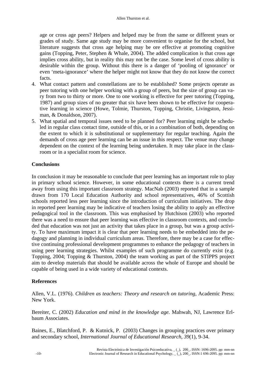age or cross age peers? Helpers and helped may be from the same or different years or grades of study. Same age study may be more convenient to organise for the school, but literature suggests that cross age helping may be ore effective at promoting cognitive gains (Topping, Peter, Stephen & Whale, 2004). The added complication is that cross age implies cross ability, but in reality this may not be the case. Some level of cross ability is desirable within the group. Without this there is a danger of 'pooling of ignorance' or even 'meta-ignorance' where the helper might not know that they do not know the correct facts.

- 4. What contact pattern and constellations are to be established? Some projects operate as peer tutoring with one helper working with a group of peers, but the size of group can vary from two to thirty or more. One to one working is effective for peer tutoring (Topping, 1987) and group sizes of no greater that six have been shown to be effective for cooperative learning in science (Howe, Tolmie, Thurston, Topping, Christie, Livingston, Jessiman, & Donaldson, 2007).
- 5. What spatial and temporal issues need to be planned for? Peer learning might be scheduled in regular class contact time, outside of this, or in a combination of both, depending on the extent to which it is substitutional or supplementary for regular teaching. Again the demands of cross age peer learning can be an issue in this respect. The venue may change dependent on the context of the learning being undertaken. It may take place in the classroom or in a specialist room for science.

### **Conclusions**

In conclusion it may be reasonable to conclude that peer learning has an important role to play in primary school science. However, in some educational contexts there is a current trend away from using this important classroom strategy. MacNab (2003) reported that in a sample drawn from 170 Local Education Authority and school representatives, 46% of Scottish schools reported less peer learning since the introduction of curriculum initiatives. The drop in reported peer learning may be indicative of teachers losing the ability to apply an effective pedagogical tool in the classroom. This was emphasised by Hutchison (2003) who reported there was a need to ensure that peer learning was effective in classroom contexts, and concluded that education was not just an activity that takes place in a group, but was a group activity. To have maximum impact it is clear that peer learning needs to be embedded into the pedagogy and planning in individual curriculum areas. Therefore, there may be a case for effective continuing professional development programmes to enhance the pedagogy of teachers in using peer learning strategies. Whilst examples of such programme do currently exist (e.g. Topping, 2004; Topping & Thurston, 2004) the team working as part of the STIPPS project aim to develop materials that should be available across the whole of Europe and should be capable of being used in a wide variety of educational contexts.

## **References**

Allen, V.L. (1976). *Children as teachers: Theory and research on tutoring*, Academic Press: New York.

Bereiter, C. (2002) *Education and mind in the knowledge age.* Mahwah, NJ, Lawrence Erlbaum Associates.

Baines, E., Blatchford, P. & Kutnick, P. (2003) Changes in grouping practices over primary and secondary school, *International Journal of Educational Research*, *39*(1), 9-34.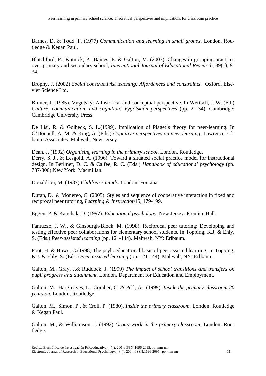Barnes, D. & Todd, F. (1977) *Communication and learning in small groups.* London, Routledge & Kegan Paul.

Blatchford, P., Kutnick, P., Baines, E. & Galton, M. (2003). Changes in grouping practices over primary and secondary school, *International Journal of Educational Research*, 39(1), 9- 34.

Brophy, J. (2002) *Social constructivist teaching: Affordances and constraints.* Oxford, Elsevier Science Ltd.

Bruner, J. (1985). Vygotsky: A historical and conceptual perspective. In Wertsch, J. W. (Ed.) *Culture, communication, and cognition: Vygotskian perspectives* (pp. 21-34). Cambridge: Cambridge University Press.

De Lisi, R. & Golbeck, S. L.(1999). Implication of Piaget's theory for peer-learning. In O'Donnell, A. M. & King, A. (Eds.) *Cognitive perspectives on peer-learning*. Lawrence Erlbaum Associates: Mahwah, New Jersey.

Dean, J. (1992) *Organising learning in the primary school*. London, Routledge. Derry, S. J., & Lesgold, A. (1996). Toward a situated social practice model for instructional design. In Berliner, D. C. & Calfee, R. C. (Eds.) *Handbook of educational psychology* (pp. 787-806).New York: Macmillan.

Donaldson, M. (1987).*Children's minds*. London: Fontana.

Duran, D. & Monereo, C. (2005). Styles and sequence of cooperative interaction in fixed and reciprocal peer tutoring, *Learning & Instruction*15, 179-199.

Eggen, P. & Kauchak, D. (1997). *Educational psychology.* New Jersey: Prentice Hall.

Fantuzzo, J. W., & Ginsburgh-Block, M. (1998). Reciprocal peer tutoring: Developing and testing effective peer collaborations for elementary school students. In Topping, K.J. & Ehly, S. (Eds.) *Peer-assisted learning* (pp. 121-144). Mahwah, NY: Erlbaum.

Foot, H. & Howe, C.(1998).The psyhoeducational basis of peer assisted learning. In Topping, K.J. & Ehly, S. (Eds.) *Peer-assisted learning* (pp. 121-144). Mahwah, NY: Erlbaum.

Galton, M., Gray, J.& Ruddock, J. (1999) *The impact of school transitions and transfers on pupil progress and attainment*. London, Department for Education and Employment.

Galton, M., Hargreaves, L., Comber, C. & Pell, A. (1999). *Inside the primary classroom 20 years on.* London, Routledge.

Galton, M., Simon, P., & Croll, P. (1980). *Inside the primary classroom*. London: Routledge & Kegan Paul.

Galton, M., & Williamson, J. (1992) *Group work in the primary classroom*. London, Routledge.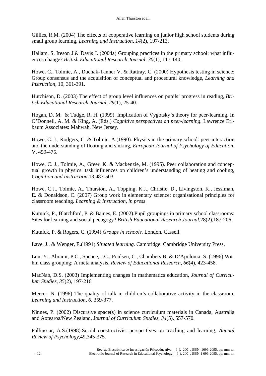Gillies, R.M. (2004) The effects of cooperative learning on junior high school students during small group learning, *Learning and Instruction, 14*(2), 197-213.

Hallam, S. Ireson J.& Davis J. (2004a) Grouping practices in the primary school: what influences change? *British Educational Research Journal, 30*(1), 117-140.

Howe, C., Tolmie, A., Duchak-Tanner V. & Rattray, C. (2000) Hypothesis testing in science: Group consensus and the acquisition of conceptual and procedural knowledge, *Learning and Instruction,* 10, 361-391.

Hutchison, D. (2003) The effect of group level influences on pupils' progress in reading, *British Educational Research Journal, 29*(1), 25-40.

Hogan, D. M. & Tudge, R. H. (1999). Implication of Vygotsky's theory for peer-learning. In O'Donnell, A. M. & King, A. (Eds.) *Cognitive perspectives on peer-learning*. Lawrence Erlbaum Associates: Mahwah, New Jersey.

Howe, C. J., Rodgers, C. & Tolmie, A.(1990). Physics in the primary school: peer interaction and the understanding of floating and sinking, *European Journal of Psychology of Education,*  V, 459-475.

Howe, C. J., Tolmie, A., Greer, K. & Mackenzie, M. (1995). Peer collaboration and conceptual growth in physics: task influences on children's understanding of heating and cooling, *Cognition and Instruction*,13,483-503.

Howe, C.J., Tolmie, A., Thurston, A., Topping, K.J., Christie, D., Livingston, K., Jessiman, E. & Donaldson, C. (2007) Group work in elementary science: organisational principles for classroom teaching. *Learning & Instruction, in press*

Kutnick, P., Blatchford, P. & Baines, E. (2002).Pupil groupings in primary school classrooms: Sites for learning and social pedagogy? *British Educational Research Journal,*28(2),187-206.

Kutnick, P. & Rogers, C. (1994) *Groups in schools.* London, Cassell.

Lave, J., & Wenger, E.(1991).*Situated learning.* Cambridge: Cambridge University Press.

Lou, Y., Abrami, P.C., Spence, J.C., Poulsen, C., Chambers B. & D'Apolonia, S. (1996) Within class grouping: A meta analysis, *Review of Educational Research, 66*(4), 423-458.

MacNab, D.S. (2003) Implementing changes in mathematics education, *Journal of Curriculum Studies*, *35*(2), 197-216.

Mercer, N. (1996) The quality of talk in children's collaborative activity in the classroom, *Learning and Instruction, 6*, 359-377.

Ninnes, P. (2002) Discursive space(s) in science curriculum materials in Canada, Australia and Aotearoa/New Zealand, J*ournal of Curriculum Studies, 34*(5), 557-570.

Pallinscar, A.S.(1998).Social constructivist perspectives on teaching and learning, *Annual Review of Psychology*,49,345-375.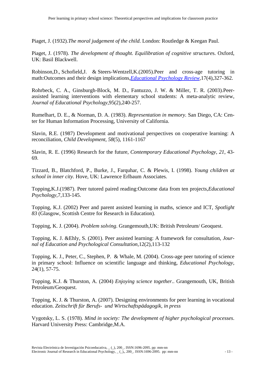Piaget, J. (1932).*The moral judgement of the child*. London: Routledge & Keegan Paul.

Piaget, J. (1978). *The development of thought. Equilibration of cognitive structures.* Oxford, UK: Basil Blackwell.

Robinson,D., Schofield,J. & Steers-Wentzell,K.(2005).Peer and cross-age tutoring in math:Outcomes and their design implications,*Educational Psychology Review*,17(4),327-362.

Rohrbeck, C. A., Ginsburgh-Block, M. D., Fantuzzo, J. W. & Miller, T. R. (2003).Peerassisted learning interventions with elementary school students: A meta-analytic review, *Journal of Educational Psychology*,95(2),240-257.

Rumelhart, D. E., & Norman, D. A. (1983). *Representation in memory.* San Diego, CA: Center for Human Information Processing, University of California.

Slavin, R.E. (1987) Development and motivational perspectives on cooperative learning: A reconciliation, *Child Development, 58*(5), 1161-1167

Slavin, R. E. (1996) Research for the future, *Contemporary Educational Psychology, 21*, 43- 69.

Tizzard, B., Blatchford, P., Burke, J., Farquhar, C. & Plewis, I. (1998). *Young children at school in inner city.* Hove, UK: Lawrence Erlbaum Associates.

Topping,K.J.(1987). Peer tutored paired reading:Outcome data from ten projects,*Educational Psychology*,7,133-145.

Topping, K.J. (2002) Peer and parent assisted learning in maths, science and ICT, *Spotlight 83* (Glasgow, Scottish Centre for Research in Education).

Topping, K. J. (2004). *Problem solving*. Grangemouth,UK: British Petroleum/ Geoquest.

Topping, K. J. &Ehly, S. (2001). Peer assisted learning: A framework for consultation, *Journal of Education and Psychological Consultation*,12(2),113-132

Topping, K. J., Peter, C., Stephen, P. & Whale, M. (2004). Cross-age peer tutoring of science in primary school: Influence on scientific language and thinking, *Educational Psychology*, 24(1), 57-75.

Topping, K.J. & Thurston, A. (2004) *Enjoying science together.*. Grangemouth, UK, British Petroleum/Geoquest.

Topping, K. J. & Thurston, A. (2007). Designing environments for peer learning in vocational education. *Zeitschrift für Berufs- und Wirtschaftspädagogik, in press*

Vygotsky, L. S. (1978). *Mind in society: The development of higher psychological processes*. Harvard University Press: Cambridge,M.A.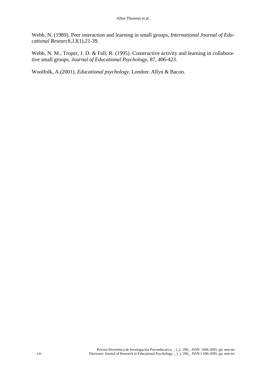Webb, N. (1989). Peer interaction and learning in small groups, *International Journal of Educational Research,13*(1),21-39.

Webb, N. M., Troper, J. D. & Fall, R. (1995). Constructive activity and learning in collaborative small groups, *Journal of Educational Psychology,* 87, 406-423.

Woolfolk, A.(2001). *Educational psychology*. London: Allyn & Bacon.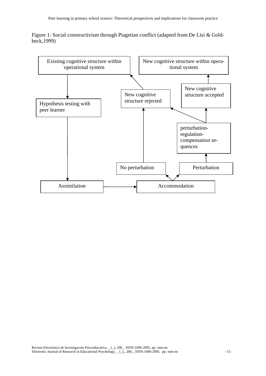

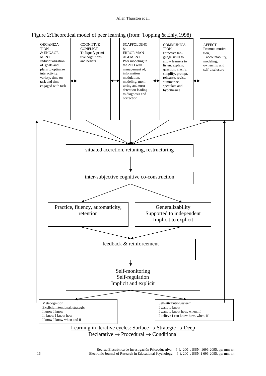